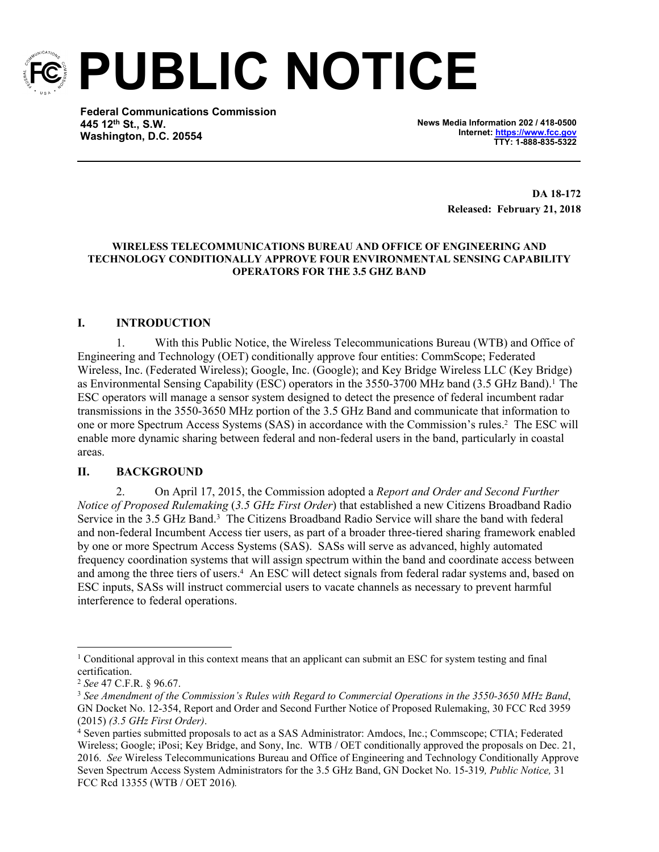

**PUBLIC NOTICE**

**Federal Communications Commission 445 12th St., S.W. Washington, D.C. 20554**

**News Media Information 202 / 418-0500 Internet: [https://www.fcc.gov](https://www.fcc.gov/) TTY: 1-888-835-5322**

> **DA 18-172 Released: February 21, 2018**

#### **WIRELESS TELECOMMUNICATIONS BUREAU AND OFFICE OF ENGINEERING AND TECHNOLOGY CONDITIONALLY APPROVE FOUR ENVIRONMENTAL SENSING CAPABILITY OPERATORS FOR THE 3.5 GHZ BAND**

# **I. INTRODUCTION**

1. With this Public Notice, the Wireless Telecommunications Bureau (WTB) and Office of Engineering and Technology (OET) conditionally approve four entities: CommScope; Federated Wireless, Inc. (Federated Wireless); Google, Inc. (Google); and Key Bridge Wireless LLC (Key Bridge) as Environmental Sensing Capability (ESC) operators in the 3550-3700 MHz band (3.5 GHz Band).<sup>1</sup> The ESC operators will manage a sensor system designed to detect the presence of federal incumbent radar transmissions in the 3550-3650 MHz portion of the 3.5 GHz Band and communicate that information to one or more Spectrum Access Systems (SAS) in accordance with the Commission's rules.<sup>2</sup> The ESC will enable more dynamic sharing between federal and non-federal users in the band, particularly in coastal areas.

### **II. BACKGROUND**

2. On April 17, 2015, the Commission adopted a *Report and Order and Second Further Notice of Proposed Rulemaking* (*3.5 GHz First Order*) that established a new Citizens Broadband Radio Service in the 3.5 GHz Band.<sup>3</sup> The Citizens Broadband Radio Service will share the band with federal and non-federal Incumbent Access tier users, as part of a broader three-tiered sharing framework enabled by one or more Spectrum Access Systems (SAS). SASs will serve as advanced, highly automated frequency coordination systems that will assign spectrum within the band and coordinate access between and among the three tiers of users.<sup>4</sup> An ESC will detect signals from federal radar systems and, based on ESC inputs, SASs will instruct commercial users to vacate channels as necessary to prevent harmful interference to federal operations.

<sup>&</sup>lt;sup>1</sup> Conditional approval in this context means that an applicant can submit an ESC for system testing and final certification.

<sup>2</sup> *See* 47 C.F.R. § 96.67.

<sup>3</sup> *See Amendment of the Commission's Rules with Regard to Commercial Operations in the 3550-3650 MHz Band*, GN Docket No. 12-354, Report and Order and Second Further Notice of Proposed Rulemaking, 30 FCC Rcd 3959 (2015) *(3.5 GHz First Order)*.

<sup>4</sup> Seven parties submitted proposals to act as a SAS Administrator: Amdocs, Inc.; Commscope; CTIA; Federated Wireless; Google; iPosi; Key Bridge, and Sony, Inc. WTB / OET conditionally approved the proposals on Dec. 21, 2016. *See* Wireless Telecommunications Bureau and Office of Engineering and Technology Conditionally Approve Seven Spectrum Access System Administrators for the 3.5 GHz Band, GN Docket No. 15-319*, Public Notice,* 31 FCC Rcd 13355 (WTB / OET 2016)*.*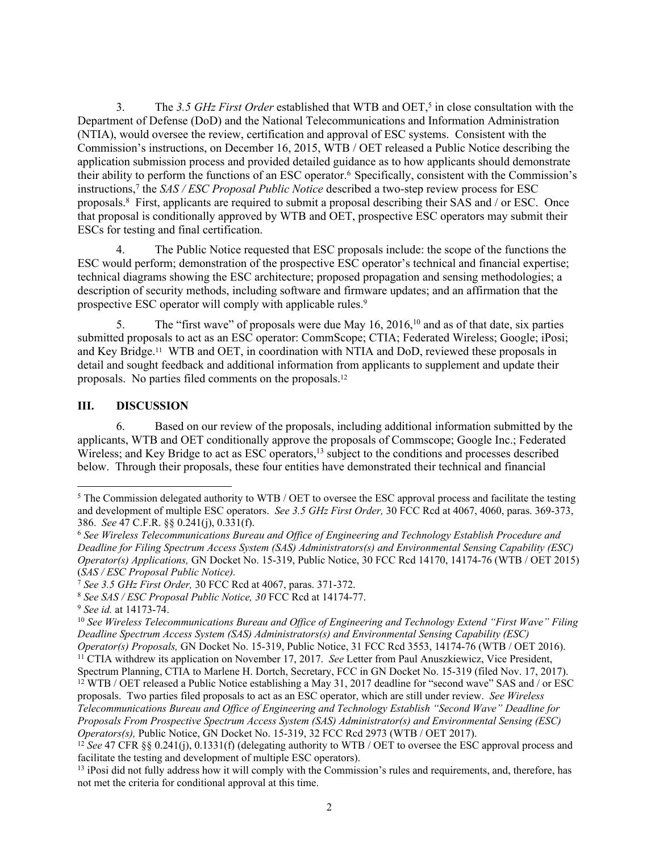3. The *3.5 GHz First Order* established that WTB and OET,<sup>5</sup> in close consultation with the Department of Defense (DoD) and the National Telecommunications and Information Administration (NTIA), would oversee the review, certification and approval of ESC systems. Consistent with the Commission's instructions, on December 16, 2015, WTB / OET released a Public Notice describing the application submission process and provided detailed guidance as to how applicants should demonstrate their ability to perform the functions of an ESC operator.<sup>6</sup> Specifically, consistent with the Commission's instructions,<sup>7</sup> the *SAS / ESC Proposal Public Notice* described a two-step review process for ESC proposals.<sup>8</sup> First, applicants are required to submit a proposal describing their SAS and / or ESC. Once that proposal is conditionally approved by WTB and OET, prospective ESC operators may submit their ESCs for testing and final certification.

4. The Public Notice requested that ESC proposals include: the scope of the functions the ESC would perform; demonstration of the prospective ESC operator's technical and financial expertise; technical diagrams showing the ESC architecture; proposed propagation and sensing methodologies; a description of security methods, including software and firmware updates; and an affirmation that the prospective ESC operator will comply with applicable rules.<sup>9</sup>

5. The "first wave" of proposals were due May 16, 2016,<sup>10</sup> and as of that date, six parties submitted proposals to act as an ESC operator: CommScope; CTIA; Federated Wireless; Google; iPosi; and Key Bridge.11 WTB and OET, in coordination with NTIA and DoD, reviewed these proposals in detail and sought feedback and additional information from applicants to supplement and update their proposals. No parties filed comments on the proposals.<sup>12</sup>

# **III. DISCUSSION**

6. Based on our review of the proposals, including additional information submitted by the applicants, WTB and OET conditionally approve the proposals of Commscope; Google Inc.; Federated Wireless; and Key Bridge to act as ESC operators,<sup>13</sup> subject to the conditions and processes described below. Through their proposals, these four entities have demonstrated their technical and financial

<sup>&</sup>lt;sup>5</sup> The Commission delegated authority to WTB / OET to oversee the ESC approval process and facilitate the testing and development of multiple ESC operators. *See 3.5 GHz First Order,* 30 FCC Rcd at 4067, 4060, paras. 369-373, 386. *See* 47 C.F.R. §§ 0.241(j), 0.331(f).

<sup>6</sup> *See Wireless Telecommunications Bureau and Office of Engineering and Technology Establish Procedure and Deadline for Filing Spectrum Access System (SAS) Administrators(s) and Environmental Sensing Capability (ESC) Operator(s) Applications,* GN Docket No. 15-319, Public Notice, 30 FCC Rcd 14170, 14174-76 (WTB / OET 2015) (*SAS / ESC Proposal Public Notice).* 

<sup>7</sup> *See 3.5 GHz First Order,* 30 FCC Rcd at 4067, paras. 371-372.

<sup>8</sup> *See SAS / ESC Proposal Public Notice, 30* FCC Rcd at 14174-77.

<sup>9</sup> *See id.* at 14173-74.

<sup>10</sup> *See Wireless Telecommunications Bureau and Office of Engineering and Technology Extend "First Wave" Filing Deadline Spectrum Access System (SAS) Administrators(s) and Environmental Sensing Capability (ESC) Operator(s) Proposals,* GN Docket No. 15-319, Public Notice, 31 FCC Rcd 3553, 14174-76 (WTB / OET 2016). <sup>11</sup> CTIA withdrew its application on November 17, 2017. *See* Letter from Paul Anuszkiewicz, Vice President, Spectrum Planning, CTIA to Marlene H. Dortch, Secretary, FCC in GN Docket No. 15-319 (filed Nov. 17, 2017). <sup>12</sup> WTB / OET released a Public Notice establishing a May 31, 2017 deadline for "second wave" SAS and / or ESC

proposals. Two parties filed proposals to act as an ESC operator, which are still under review. *See Wireless Telecommunications Bureau and Office of Engineering and Technology Establish "Second Wave" Deadline for Proposals From Prospective Spectrum Access System (SAS) Administrator(s) and Environmental Sensing (ESC) Operators(s),* Public Notice, GN Docket No. 15-319, 32 FCC Rcd 2973 (WTB / OET 2017).

<sup>&</sup>lt;sup>12</sup> See 47 CFR §§ 0.241(j), 0.1331(f) (delegating authority to WTB / OET to oversee the ESC approval process and facilitate the testing and development of multiple ESC operators).

<sup>&</sup>lt;sup>13</sup> iPosi did not fully address how it will comply with the Commission's rules and requirements, and, therefore, has not met the criteria for conditional approval at this time.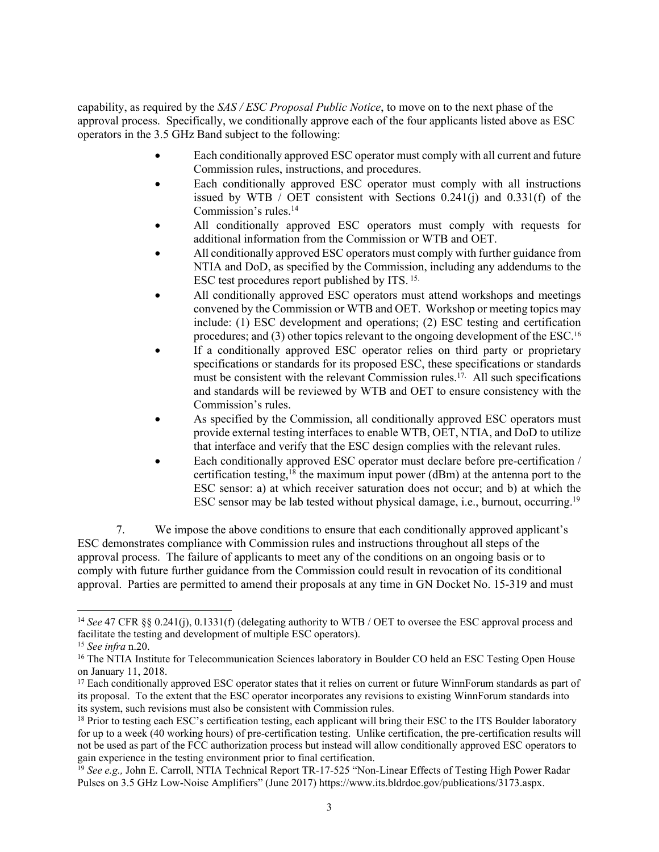capability, as required by the *SAS / ESC Proposal Public Notice*, to move on to the next phase of the approval process.Specifically, we conditionally approve each of the four applicants listed above as ESC operators in the 3.5 GHz Band subject to the following:

- Each conditionally approved ESC operator must comply with all current and future Commission rules, instructions, and procedures.
- Each conditionally approved ESC operator must comply with all instructions issued by WTB / OET consistent with Sections 0.241(j) and 0.331(f) of the Commission's rules.<sup>14</sup>
- All conditionally approved ESC operators must comply with requests for additional information from the Commission or WTB and OET.
- All conditionally approved ESC operators must comply with further guidance from NTIA and DoD, as specified by the Commission, including any addendums to the ESC test procedures report published by ITS. 15.
- All conditionally approved ESC operators must attend workshops and meetings convened by the Commission or WTB and OET. Workshop or meeting topics may include: (1) ESC development and operations; (2) ESC testing and certification procedures; and (3) other topics relevant to the ongoing development of the ESC.<sup>16</sup>
- If a conditionally approved ESC operator relies on third party or proprietary specifications or standards for its proposed ESC, these specifications or standards must be consistent with the relevant Commission rules.<sup>17.</sup> All such specifications and standards will be reviewed by WTB and OET to ensure consistency with the Commission's rules.
- As specified by the Commission, all conditionally approved ESC operators must provide external testing interfaces to enable WTB, OET, NTIA, and DoD to utilize that interface and verify that the ESC design complies with the relevant rules.
- Each conditionally approved ESC operator must declare before pre-certification / certification testing,<sup>18</sup> the maximum input power (dBm) at the antenna port to the ESC sensor: a) at which receiver saturation does not occur; and b) at which the ESC sensor may be lab tested without physical damage, i.e., burnout, occurring.<sup>19</sup>

7. We impose the above conditions to ensure that each conditionally approved applicant's ESC demonstrates compliance with Commission rules and instructions throughout all steps of the approval process. The failure of applicants to meet any of the conditions on an ongoing basis or to comply with future further guidance from the Commission could result in revocation of its conditional approval. Parties are permitted to amend their proposals at any time in GN Docket No. 15-319 and must

<sup>&</sup>lt;sup>14</sup> See 47 CFR §§ 0.241(j), 0.1331(f) (delegating authority to WTB / OET to oversee the ESC approval process and facilitate the testing and development of multiple ESC operators).

<sup>15</sup> *See infra* n.20.

<sup>&</sup>lt;sup>16</sup> The NTIA Institute for Telecommunication Sciences laboratory in Boulder CO held an ESC Testing Open House on January 11, 2018.

<sup>&</sup>lt;sup>17</sup> Each conditionally approved ESC operator states that it relies on current or future WinnForum standards as part of its proposal. To the extent that the ESC operator incorporates any revisions to existing WinnForum standards into its system, such revisions must also be consistent with Commission rules.

<sup>&</sup>lt;sup>18</sup> Prior to testing each ESC's certification testing, each applicant will bring their ESC to the ITS Boulder laboratory for up to a week (40 working hours) of pre-certification testing. Unlike certification, the pre-certification results will not be used as part of the FCC authorization process but instead will allow conditionally approved ESC operators to gain experience in the testing environment prior to final certification.

<sup>19</sup> *See e.g.,* John E. Carroll, NTIA Technical Report TR-17-525 "Non-Linear Effects of Testing High Power Radar Pulses on 3.5 GHz Low-Noise Amplifiers" (June 2017) https://www.its.bldrdoc.gov/publications/3173.aspx.